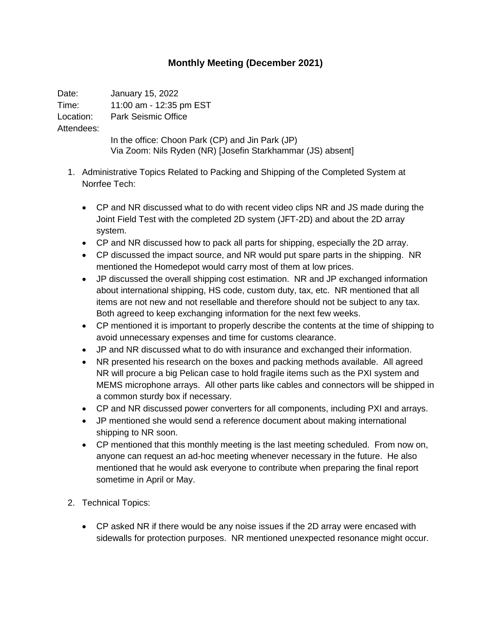## **Monthly Meeting (December 2021)**

Date: January 15, 2022 Time: 11:00 am - 12:35 pm EST Location: Park Seismic Office Attendees: In the office: Choon Park (CP) and Jin Park (JP) Via Zoom: Nils Ryden (NR) [Josefin Starkhammar (JS) absent]

- 1. Administrative Topics Related to Packing and Shipping of the Completed System at Norrfee Tech:
	- CP and NR discussed what to do with recent video clips NR and JS made during the Joint Field Test with the completed 2D system (JFT-2D) and about the 2D array system.
	- CP and NR discussed how to pack all parts for shipping, especially the 2D array.
	- CP discussed the impact source, and NR would put spare parts in the shipping. NR mentioned the Homedepot would carry most of them at low prices.
	- JP discussed the overall shipping cost estimation. NR and JP exchanged information about international shipping, HS code, custom duty, tax, etc. NR mentioned that all items are not new and not resellable and therefore should not be subject to any tax. Both agreed to keep exchanging information for the next few weeks.
	- CP mentioned it is important to properly describe the contents at the time of shipping to avoid unnecessary expenses and time for customs clearance.
	- JP and NR discussed what to do with insurance and exchanged their information.
	- NR presented his research on the boxes and packing methods available. All agreed NR will procure a big Pelican case to hold fragile items such as the PXI system and MEMS microphone arrays. All other parts like cables and connectors will be shipped in a common sturdy box if necessary.
	- CP and NR discussed power converters for all components, including PXI and arrays.
	- JP mentioned she would send a reference document about making international shipping to NR soon.
	- CP mentioned that this monthly meeting is the last meeting scheduled. From now on, anyone can request an ad-hoc meeting whenever necessary in the future. He also mentioned that he would ask everyone to contribute when preparing the final report sometime in April or May.
- 2. Technical Topics:
	- CP asked NR if there would be any noise issues if the 2D array were encased with sidewalls for protection purposes. NR mentioned unexpected resonance might occur.